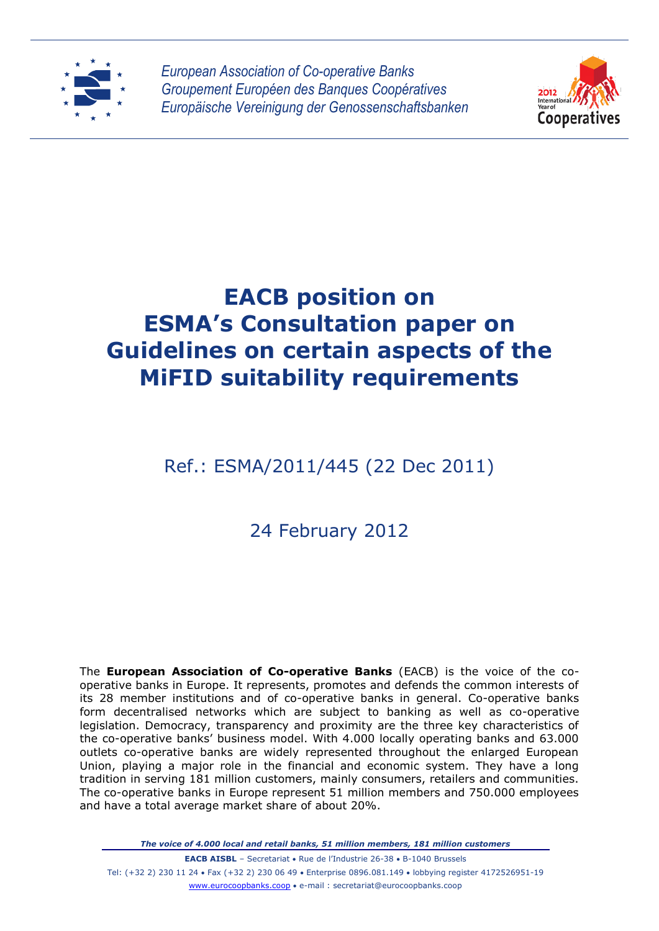

*European Association of Co-operative Banks Groupement Européen des Banques Coopératives Europäische Vereinigung der Genossenschaftsbanken*



# **EACB position on ESMA's Consultation paper on Guidelines on certain aspects of the MiFID suitability requirements**

# Ref.: ESMA/2011/445 (22 Dec 2011)

# 24 February 2012

The **European Association of Co-operative Banks** (EACB) is the voice of the cooperative banks in Europe. It represents, promotes and defends the common interests of its 28 member institutions and of co-operative banks in general. Co-operative banks form decentralised networks which are subject to banking as well as co-operative legislation. Democracy, transparency and proximity are the three key characteristics of the co-operative banks' business model. With 4.000 locally operating banks and 63.000 outlets co-operative banks are widely represented throughout the enlarged European Union, playing a major role in the financial and economic system. They have a long tradition in serving 181 million customers, mainly consumers, retailers and communities. The co-operative banks in Europe represent 51 million members and 750.000 employees and have a total average market share of about 20%.

*The voice of 4.000 local and retail banks, 51 million members, 181 million customers*

**EACB AISBL** – Secretariat • Rue de l'Industrie 26-38 • B-1040 Brussels Tel: (+32 2) 230 11 24 Fax (+32 2) 230 06 49 Enterprise 0896.081.149 lobbying register 4172526951-19 www.eurocoopbanks.coop e-mail : secretariat@eurocoopbanks.coop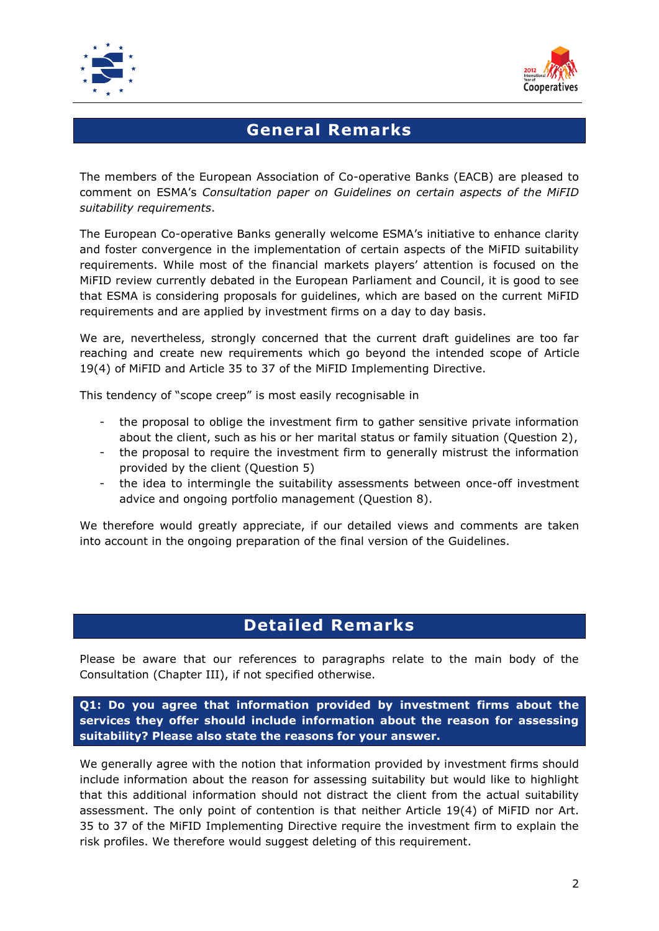



### **General Remarks**

The members of the European Association of Co-operative Banks (EACB) are pleased to comment on ESMA's *Consultation paper on Guidelines on certain aspects of the MiFID suitability requirements*.

The European Co-operative Banks generally welcome ESMA's initiative to enhance clarity and foster convergence in the implementation of certain aspects of the MiFID suitability requirements. While most of the financial markets players' attention is focused on the MiFID review currently debated in the European Parliament and Council, it is good to see that ESMA is considering proposals for guidelines, which are based on the current MiFID requirements and are applied by investment firms on a day to day basis.

We are, nevertheless, strongly concerned that the current draft guidelines are too far reaching and create new requirements which go beyond the intended scope of Article 19(4) of MiFID and Article 35 to 37 of the MiFID Implementing Directive.

This tendency of "scope creep" is most easily recognisable in

- the proposal to oblige the investment firm to gather sensitive private information about the client, such as his or her marital status or family situation (Question 2),
- the proposal to require the investment firm to generally mistrust the information provided by the client (Question 5)
- the idea to intermingle the suitability assessments between once-off investment advice and ongoing portfolio management (Question 8).

We therefore would greatly appreciate, if our detailed views and comments are taken into account in the ongoing preparation of the final version of the Guidelines.

### **Detailed Remarks**

Please be aware that our references to paragraphs relate to the main body of the Consultation (Chapter III), if not specified otherwise.

**Q1: Do you agree that information provided by investment firms about the services they offer should include information about the reason for assessing suitability? Please also state the reasons for your answer.**

We generally agree with the notion that information provided by investment firms should include information about the reason for assessing suitability but would like to highlight that this additional information should not distract the client from the actual suitability assessment. The only point of contention is that neither Article 19(4) of MiFID nor Art. 35 to 37 of the MiFID Implementing Directive require the investment firm to explain the risk profiles. We therefore would suggest deleting of this requirement.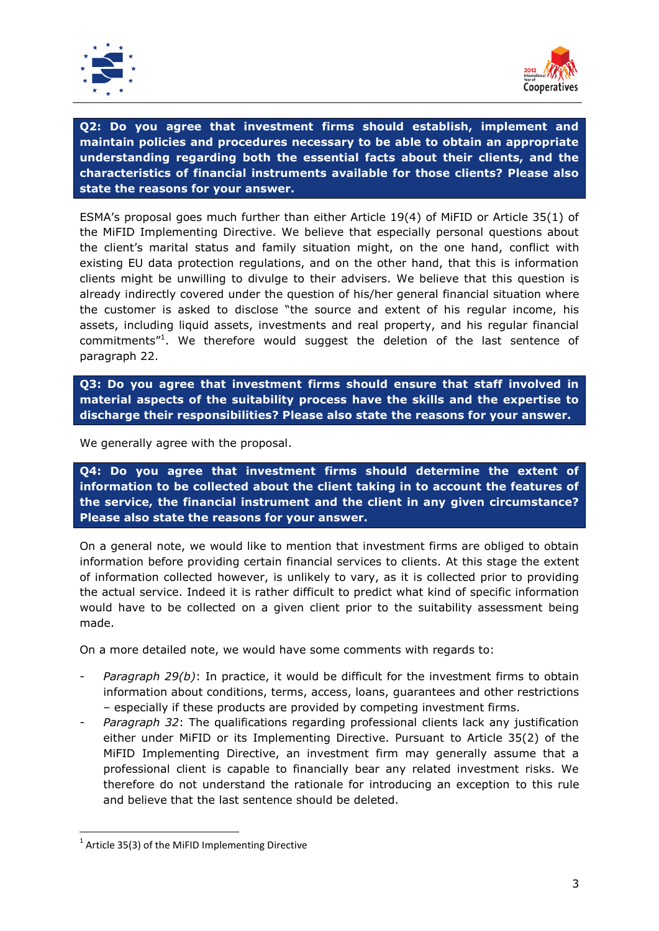



**Q2: Do you agree that investment firms should establish, implement and maintain policies and procedures necessary to be able to obtain an appropriate understanding regarding both the essential facts about their clients, and the characteristics of financial instruments available for those clients? Please also state the reasons for your answer.**

ESMA's proposal goes much further than either Article 19(4) of MiFID or Article 35(1) of the MiFID Implementing Directive. We believe that especially personal questions about the client's marital status and family situation might, on the one hand, conflict with existing EU data protection regulations, and on the other hand, that this is information clients might be unwilling to divulge to their advisers. We believe that this question is already indirectly covered under the question of his/her general financial situation where the customer is asked to disclose "the source and extent of his regular income, his assets, including liquid assets, investments and real property, and his regular financial commitments"<sup>1</sup>. We therefore would suggest the deletion of the last sentence of paragraph 22.

**Q3: Do you agree that investment firms should ensure that staff involved in material aspects of the suitability process have the skills and the expertise to discharge their responsibilities? Please also state the reasons for your answer.**

We generally agree with the proposal.

**Q4: Do you agree that investment firms should determine the extent of information to be collected about the client taking in to account the features of the service, the financial instrument and the client in any given circumstance? Please also state the reasons for your answer.**

On a general note, we would like to mention that investment firms are obliged to obtain information before providing certain financial services to clients. At this stage the extent of information collected however, is unlikely to vary, as it is collected prior to providing the actual service. Indeed it is rather difficult to predict what kind of specific information would have to be collected on a given client prior to the suitability assessment being made.

On a more detailed note, we would have some comments with regards to:

- *Paragraph 29(b)*: In practice, it would be difficult for the investment firms to obtain information about conditions, terms, access, loans, guarantees and other restrictions – especially if these products are provided by competing investment firms.
- *Paragraph 32*: The qualifications regarding professional clients lack any justification either under MiFID or its Implementing Directive. Pursuant to Article 35(2) of the MiFID Implementing Directive, an investment firm may generally assume that a professional client is capable to financially bear any related investment risks. We therefore do not understand the rationale for introducing an exception to this rule and believe that the last sentence should be deleted.

**.** 

 $1$  Article 35(3) of the MiFID Implementing Directive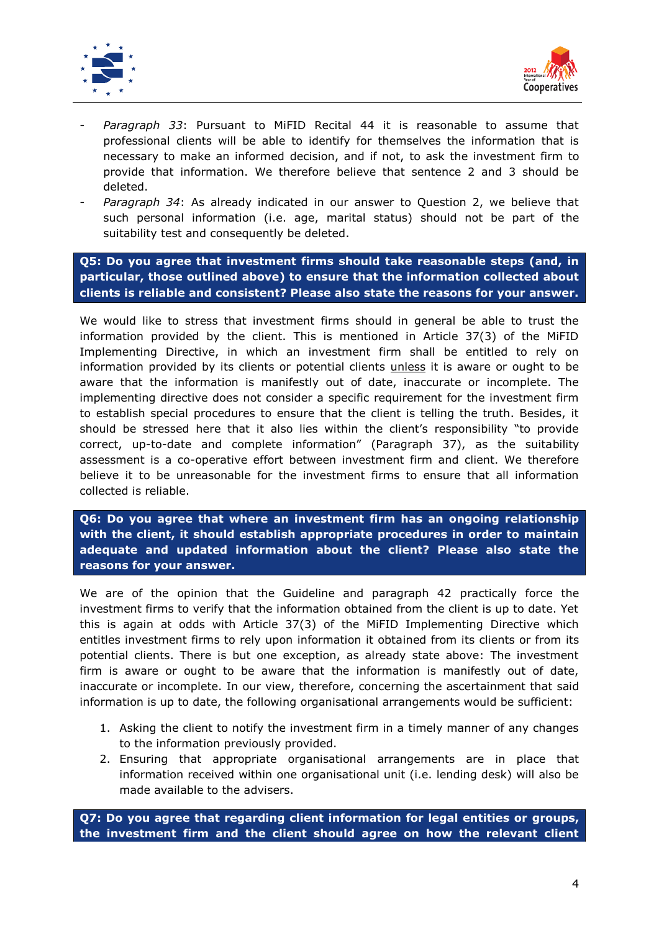



- *Paragraph 33*: Pursuant to MiFID Recital 44 it is reasonable to assume that professional clients will be able to identify for themselves the information that is necessary to make an informed decision, and if not, to ask the investment firm to provide that information. We therefore believe that sentence 2 and 3 should be deleted.
- Paragraph 34: As already indicated in our answer to Question 2, we believe that such personal information (i.e. age, marital status) should not be part of the suitability test and consequently be deleted.

**Q5: Do you agree that investment firms should take reasonable steps (and, in particular, those outlined above) to ensure that the information collected about clients is reliable and consistent? Please also state the reasons for your answer.**

We would like to stress that investment firms should in general be able to trust the information provided by the client. This is mentioned in Article 37(3) of the MiFID Implementing Directive, in which an investment firm shall be entitled to rely on information provided by its clients or potential clients **unless** it is aware or ought to be aware that the information is manifestly out of date, inaccurate or incomplete. The implementing directive does not consider a specific requirement for the investment firm to establish special procedures to ensure that the client is telling the truth. Besides, it should be stressed here that it also lies within the client's responsibility "to provide correct, up-to-date and complete information" (Paragraph 37), as the suitability assessment is a co-operative effort between investment firm and client. We therefore believe it to be unreasonable for the investment firms to ensure that all information collected is reliable.

**Q6: Do you agree that where an investment firm has an ongoing relationship with the client, it should establish appropriate procedures in order to maintain adequate and updated information about the client? Please also state the reasons for your answer.**

We are of the opinion that the Guideline and paragraph 42 practically force the investment firms to verify that the information obtained from the client is up to date. Yet this is again at odds with Article 37(3) of the MiFID Implementing Directive which entitles investment firms to rely upon information it obtained from its clients or from its potential clients. There is but one exception, as already state above: The investment firm is aware or ought to be aware that the information is manifestly out of date, inaccurate or incomplete. In our view, therefore, concerning the ascertainment that said information is up to date, the following organisational arrangements would be sufficient:

- 1. Asking the client to notify the investment firm in a timely manner of any changes to the information previously provided.
- 2. Ensuring that appropriate organisational arrangements are in place that information received within one organisational unit (i.e. lending desk) will also be made available to the advisers.

**Q7: Do you agree that regarding client information for legal entities or groups, the investment firm and the client should agree on how the relevant client**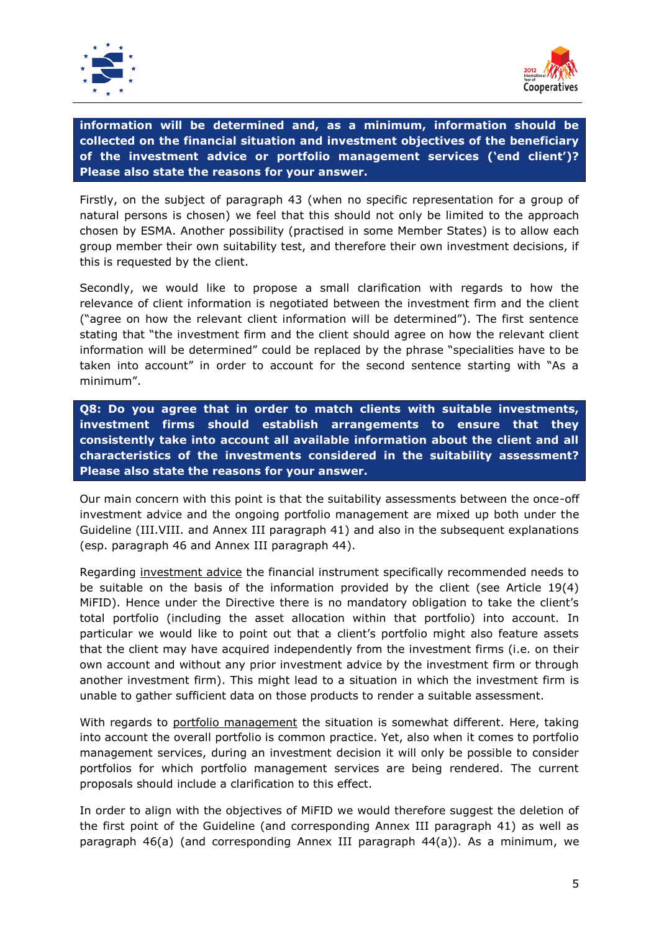



**information will be determined and, as a minimum, information should be collected on the financial situation and investment objectives of the beneficiary of the investment advice or portfolio management services ('end client')? Please also state the reasons for your answer.**

Firstly, on the subject of paragraph 43 (when no specific representation for a group of natural persons is chosen) we feel that this should not only be limited to the approach chosen by ESMA. Another possibility (practised in some Member States) is to allow each group member their own suitability test, and therefore their own investment decisions, if this is requested by the client.

Secondly, we would like to propose a small clarification with regards to how the relevance of client information is negotiated between the investment firm and the client ("agree on how the relevant client information will be determined"). The first sentence stating that "the investment firm and the client should agree on how the relevant client information will be determined" could be replaced by the phrase "specialities have to be taken into account" in order to account for the second sentence starting with "As a minimum".

**Q8: Do you agree that in order to match clients with suitable investments, investment firms should establish arrangements to ensure that they consistently take into account all available information about the client and all characteristics of the investments considered in the suitability assessment? Please also state the reasons for your answer.**

Our main concern with this point is that the suitability assessments between the once-off investment advice and the ongoing portfolio management are mixed up both under the Guideline (III.VIII. and Annex III paragraph 41) and also in the subsequent explanations (esp. paragraph 46 and Annex III paragraph 44).

Regarding investment advice the financial instrument specifically recommended needs to be suitable on the basis of the information provided by the client (see Article 19(4) MiFID). Hence under the Directive there is no mandatory obligation to take the client's total portfolio (including the asset allocation within that portfolio) into account. In particular we would like to point out that a client's portfolio might also feature assets that the client may have acquired independently from the investment firms (i.e. on their own account and without any prior investment advice by the investment firm or through another investment firm). This might lead to a situation in which the investment firm is unable to gather sufficient data on those products to render a suitable assessment.

With regards to portfolio management the situation is somewhat different. Here, taking into account the overall portfolio is common practice. Yet, also when it comes to portfolio management services, during an investment decision it will only be possible to consider portfolios for which portfolio management services are being rendered. The current proposals should include a clarification to this effect.

In order to align with the objectives of MiFID we would therefore suggest the deletion of the first point of the Guideline (and corresponding Annex III paragraph 41) as well as paragraph 46(a) (and corresponding Annex III paragraph 44(a)). As a minimum, we